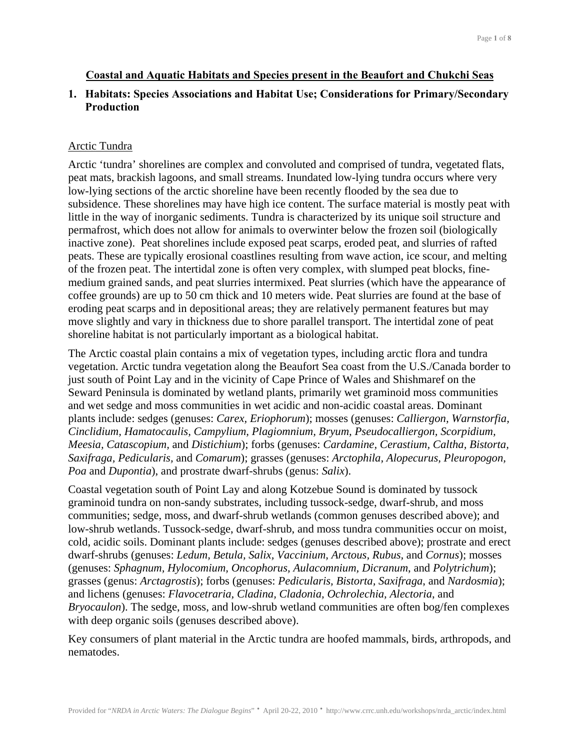## **Coastal and Aquatic Habitats and Species present in the Beaufort and Chukchi Seas**

# **1. Habitats: Species Associations and Habitat Use; Considerations for Primary/Secondary Production**

### Arctic Tundra

Arctic 'tundra' shorelines are complex and convoluted and comprised of tundra, vegetated flats, peat mats, brackish lagoons, and small streams. Inundated low-lying tundra occurs where very low-lying sections of the arctic shoreline have been recently flooded by the sea due to subsidence. These shorelines may have high ice content. The surface material is mostly peat with little in the way of inorganic sediments. Tundra is characterized by its unique soil structure and permafrost, which does not allow for animals to overwinter below the frozen soil (biologically inactive zone). Peat shorelines include exposed peat scarps, eroded peat, and slurries of rafted peats. These are typically erosional coastlines resulting from wave action, ice scour, and melting of the frozen peat. The intertidal zone is often very complex, with slumped peat blocks, finemedium grained sands, and peat slurries intermixed. Peat slurries (which have the appearance of coffee grounds) are up to 50 cm thick and 10 meters wide. Peat slurries are found at the base of eroding peat scarps and in depositional areas; they are relatively permanent features but may move slightly and vary in thickness due to shore parallel transport. The intertidal zone of peat shoreline habitat is not particularly important as a biological habitat.

The Arctic coastal plain contains a mix of vegetation types, including arctic flora and tundra vegetation. Arctic tundra vegetation along the Beaufort Sea coast from the U.S./Canada border to just south of Point Lay and in the vicinity of Cape Prince of Wales and Shishmaref on the Seward Peninsula is dominated by wetland plants, primarily wet graminoid moss communities and wet sedge and moss communities in wet acidic and non-acidic coastal areas. Dominant plants include: sedges (genuses: *Carex, Eriophorum*); mosses (genuses: *Calliergon, Warnstorfia, Cinclidium, Hamatocaulis, Campylium, Plagiomnium, Bryum, Pseudocalliergon, Scorpidium, Meesia, Catascopium,* and *Distichium*); forbs (genuses: *Cardamine, Cerastium, Caltha, Bistorta, Saxifraga, Pedicularis,* and *Comarum*); grasses (genuses: *Arctophila, Alopecurus, Pleuropogon, Poa* and *Dupontia*), and prostrate dwarf-shrubs (genus: *Salix*).

Coastal vegetation south of Point Lay and along Kotzebue Sound is dominated by tussock graminoid tundra on non-sandy substrates, including tussock-sedge, dwarf-shrub, and moss communities; sedge, moss, and dwarf-shrub wetlands (common genuses described above); and low-shrub wetlands. Tussock-sedge, dwarf-shrub, and moss tundra communities occur on moist, cold, acidic soils. Dominant plants include: sedges (genuses described above); prostrate and erect dwarf-shrubs (genuses: *Ledum, Betula, Salix, Vaccinium, Arctous, Rubus,* and *Cornus*); mosses (genuses: *Sphagnum, Hylocomium, Oncophorus, Aulacomnium, Dicranum*, and *Polytrichum*); grasses (genus: *Arctagrostis*); forbs (genuses: *Pedicularis, Bistorta, Saxifraga*, and *Nardosmia*); and lichens (genuses: *Flavocetraria, Cladina, Cladonia, Ochrolechia, Alectoria*, and *Bryocaulon*). The sedge, moss, and low-shrub wetland communities are often bog/fen complexes with deep organic soils (genuses described above).

Key consumers of plant material in the Arctic tundra are hoofed mammals, birds, arthropods, and nematodes.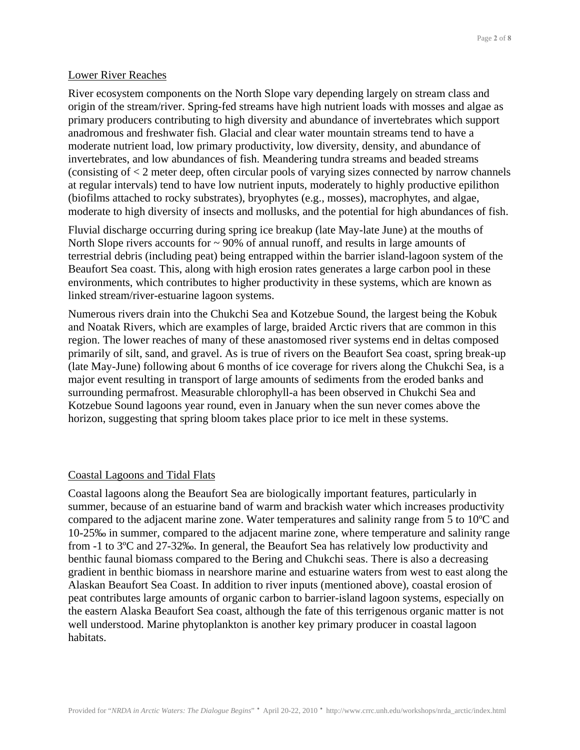## Lower River Reaches

River ecosystem components on the North Slope vary depending largely on stream class and origin of the stream/river. Spring-fed streams have high nutrient loads with mosses and algae as primary producers contributing to high diversity and abundance of invertebrates which support anadromous and freshwater fish. Glacial and clear water mountain streams tend to have a moderate nutrient load, low primary productivity, low diversity, density, and abundance of invertebrates, and low abundances of fish. Meandering tundra streams and beaded streams (consisting of < 2 meter deep, often circular pools of varying sizes connected by narrow channels at regular intervals) tend to have low nutrient inputs, moderately to highly productive epilithon (biofilms attached to rocky substrates), bryophytes (e.g., mosses), macrophytes, and algae, moderate to high diversity of insects and mollusks, and the potential for high abundances of fish.

Fluvial discharge occurring during spring ice breakup (late May-late June) at the mouths of North Slope rivers accounts for  $\sim$  90% of annual runoff, and results in large amounts of terrestrial debris (including peat) being entrapped within the barrier island-lagoon system of the Beaufort Sea coast. This, along with high erosion rates generates a large carbon pool in these environments, which contributes to higher productivity in these systems, which are known as linked stream/river-estuarine lagoon systems.

Numerous rivers drain into the Chukchi Sea and Kotzebue Sound, the largest being the Kobuk and Noatak Rivers, which are examples of large, braided Arctic rivers that are common in this region. The lower reaches of many of these anastomosed river systems end in deltas composed primarily of silt, sand, and gravel. As is true of rivers on the Beaufort Sea coast, spring break-up (late May-June) following about 6 months of ice coverage for rivers along the Chukchi Sea, is a major event resulting in transport of large amounts of sediments from the eroded banks and surrounding permafrost. Measurable chlorophyll-a has been observed in Chukchi Sea and Kotzebue Sound lagoons year round, even in January when the sun never comes above the horizon, suggesting that spring bloom takes place prior to ice melt in these systems.

#### Coastal Lagoons and Tidal Flats

Coastal lagoons along the Beaufort Sea are biologically important features, particularly in summer, because of an estuarine band of warm and brackish water which increases productivity compared to the adjacent marine zone. Water temperatures and salinity range from 5 to 10ºC and 10-25‰ in summer, compared to the adjacent marine zone, where temperature and salinity range from -1 to 3ºC and 27-32‰. In general, the Beaufort Sea has relatively low productivity and benthic faunal biomass compared to the Bering and Chukchi seas. There is also a decreasing gradient in benthic biomass in nearshore marine and estuarine waters from west to east along the Alaskan Beaufort Sea Coast. In addition to river inputs (mentioned above), coastal erosion of peat contributes large amounts of organic carbon to barrier-island lagoon systems, especially on the eastern Alaska Beaufort Sea coast, although the fate of this terrigenous organic matter is not well understood. Marine phytoplankton is another key primary producer in coastal lagoon habitats.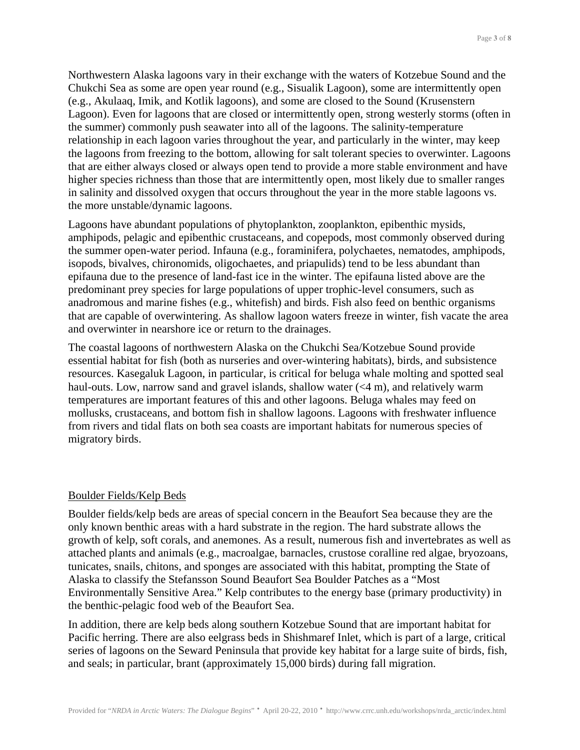Northwestern Alaska lagoons vary in their exchange with the waters of Kotzebue Sound and the Chukchi Sea as some are open year round (e.g., Sisualik Lagoon), some are intermittently open (e.g., Akulaaq, Imik, and Kotlik lagoons), and some are closed to the Sound (Krusenstern Lagoon). Even for lagoons that are closed or intermittently open, strong westerly storms (often in the summer) commonly push seawater into all of the lagoons. The salinity-temperature relationship in each lagoon varies throughout the year, and particularly in the winter, may keep the lagoons from freezing to the bottom, allowing for salt tolerant species to overwinter. Lagoons that are either always closed or always open tend to provide a more stable environment and have higher species richness than those that are intermittently open, most likely due to smaller ranges in salinity and dissolved oxygen that occurs throughout the year in the more stable lagoons vs. the more unstable/dynamic lagoons.

Lagoons have abundant populations of phytoplankton, zooplankton, epibenthic mysids, amphipods, pelagic and epibenthic crustaceans, and copepods, most commonly observed during the summer open-water period. Infauna (e.g., foraminifera, polychaetes, nematodes, amphipods, isopods, bivalves, chironomids, oligochaetes, and priapulids) tend to be less abundant than epifauna due to the presence of land-fast ice in the winter. The epifauna listed above are the predominant prey species for large populations of upper trophic-level consumers, such as anadromous and marine fishes (e.g., whitefish) and birds. Fish also feed on benthic organisms that are capable of overwintering. As shallow lagoon waters freeze in winter, fish vacate the area and overwinter in nearshore ice or return to the drainages.

The coastal lagoons of northwestern Alaska on the Chukchi Sea/Kotzebue Sound provide essential habitat for fish (both as nurseries and over-wintering habitats), birds, and subsistence resources. Kasegaluk Lagoon, in particular, is critical for beluga whale molting and spotted seal haul-outs. Low, narrow sand and gravel islands, shallow water (<4 m), and relatively warm temperatures are important features of this and other lagoons. Beluga whales may feed on mollusks, crustaceans, and bottom fish in shallow lagoons. Lagoons with freshwater influence from rivers and tidal flats on both sea coasts are important habitats for numerous species of migratory birds.

### Boulder Fields/Kelp Beds

Boulder fields/kelp beds are areas of special concern in the Beaufort Sea because they are the only known benthic areas with a hard substrate in the region. The hard substrate allows the growth of kelp, soft corals, and anemones. As a result, numerous fish and invertebrates as well as attached plants and animals (e.g., macroalgae, barnacles, crustose coralline red algae, bryozoans, tunicates, snails, chitons, and sponges are associated with this habitat, prompting the State of Alaska to classify the Stefansson Sound Beaufort Sea Boulder Patches as a "Most Environmentally Sensitive Area." Kelp contributes to the energy base (primary productivity) in the benthic-pelagic food web of the Beaufort Sea.

In addition, there are kelp beds along southern Kotzebue Sound that are important habitat for Pacific herring. There are also eelgrass beds in Shishmaref Inlet, which is part of a large, critical series of lagoons on the Seward Peninsula that provide key habitat for a large suite of birds, fish, and seals; in particular, brant (approximately 15,000 birds) during fall migration.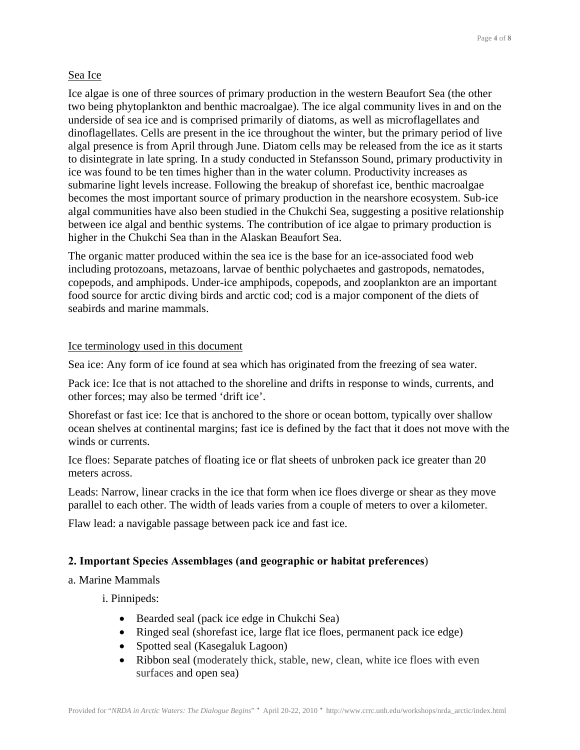# Sea Ice

Ice algae is one of three sources of primary production in the western Beaufort Sea (the other two being phytoplankton and benthic macroalgae). The ice algal community lives in and on the underside of sea ice and is comprised primarily of diatoms, as well as microflagellates and dinoflagellates. Cells are present in the ice throughout the winter, but the primary period of live algal presence is from April through June. Diatom cells may be released from the ice as it starts to disintegrate in late spring. In a study conducted in Stefansson Sound, primary productivity in ice was found to be ten times higher than in the water column. Productivity increases as submarine light levels increase. Following the breakup of shorefast ice, benthic macroalgae becomes the most important source of primary production in the nearshore ecosystem. Sub-ice algal communities have also been studied in the Chukchi Sea, suggesting a positive relationship between ice algal and benthic systems. The contribution of ice algae to primary production is higher in the Chukchi Sea than in the Alaskan Beaufort Sea.

The organic matter produced within the sea ice is the base for an ice-associated food web including protozoans, metazoans, larvae of benthic polychaetes and gastropods, nematodes, copepods, and amphipods. Under-ice amphipods, copepods, and zooplankton are an important food source for arctic diving birds and arctic cod; cod is a major component of the diets of seabirds and marine mammals.

## Ice terminology used in this document

Sea ice: Any form of ice found at sea which has originated from the freezing of sea water.

Pack ice: Ice that is not attached to the shoreline and drifts in response to winds, currents, and other forces; may also be termed 'drift ice'.

Shorefast or fast ice: Ice that is anchored to the shore or ocean bottom, typically over shallow ocean shelves at continental margins; fast ice is defined by the fact that it does not move with the winds or currents.

Ice floes: Separate patches of floating ice or flat sheets of unbroken pack ice greater than 20 meters across.

Leads: Narrow, linear cracks in the ice that form when ice floes diverge or shear as they move parallel to each other. The width of leads varies from a couple of meters to over a kilometer.

Flaw lead: a navigable passage between pack ice and fast ice.

## **2. Important Species Assemblages (and geographic or habitat preferences**)

## a. Marine Mammals

i. Pinnipeds:

- Bearded seal (pack ice edge in Chukchi Sea)
- Ringed seal (shorefast ice, large flat ice floes, permanent pack ice edge)
- Spotted seal (Kasegaluk Lagoon)
- Ribbon seal (moderately thick, stable, new, clean, white ice floes with even surfaces and open sea)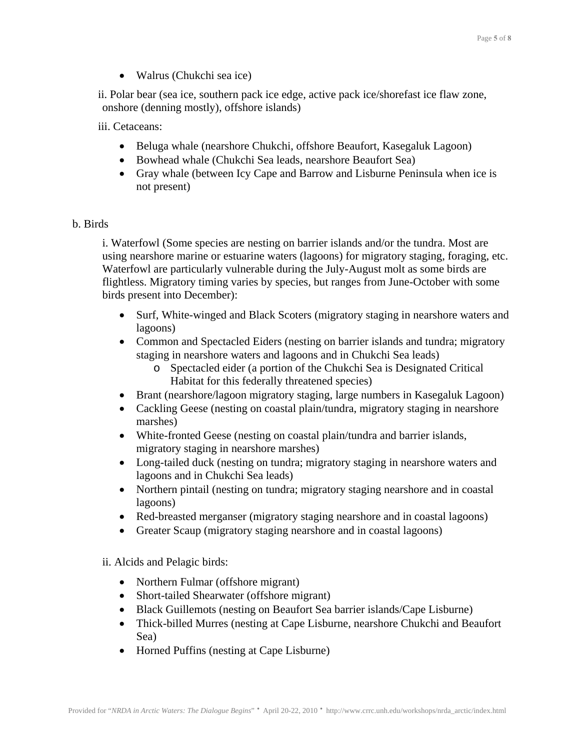• Walrus (Chukchi sea ice)

ii. Polar bear (sea ice, southern pack ice edge, active pack ice/shorefast ice flaw zone, onshore (denning mostly), offshore islands)

iii. Cetaceans:

- Beluga whale (nearshore Chukchi, offshore Beaufort, Kasegaluk Lagoon)
- Bowhead whale (Chukchi Sea leads, nearshore Beaufort Sea)
- Gray whale (between Icy Cape and Barrow and Lisburne Peninsula when ice is not present)

## b. Birds

i. Waterfowl (Some species are nesting on barrier islands and/or the tundra. Most are using nearshore marine or estuarine waters (lagoons) for migratory staging, foraging, etc. Waterfowl are particularly vulnerable during the July-August molt as some birds are flightless. Migratory timing varies by species, but ranges from June-October with some birds present into December):

- Surf, White-winged and Black Scoters (migratory staging in nearshore waters and lagoons)
- Common and Spectacled Eiders (nesting on barrier islands and tundra; migratory staging in nearshore waters and lagoons and in Chukchi Sea leads)
	- o Spectacled eider (a portion of the Chukchi Sea is Designated Critical Habitat for this federally threatened species)
- Brant (nearshore/lagoon migratory staging, large numbers in Kasegaluk Lagoon)
- Cackling Geese (nesting on coastal plain/tundra, migratory staging in nearshore marshes)
- White-fronted Geese (nesting on coastal plain/tundra and barrier islands, migratory staging in nearshore marshes)
- Long-tailed duck (nesting on tundra; migratory staging in nearshore waters and lagoons and in Chukchi Sea leads)
- Northern pintail (nesting on tundra; migratory staging nearshore and in coastal lagoons)
- Red-breasted merganser (migratory staging nearshore and in coastal lagoons)
- Greater Scaup (migratory staging nearshore and in coastal lagoons)

ii. Alcids and Pelagic birds:

- Northern Fulmar (offshore migrant)
- Short-tailed Shearwater (offshore migrant)
- Black Guillemots (nesting on Beaufort Sea barrier islands/Cape Lisburne)
- Thick-billed Murres (nesting at Cape Lisburne, nearshore Chukchi and Beaufort Sea)
- Horned Puffins (nesting at Cape Lisburne)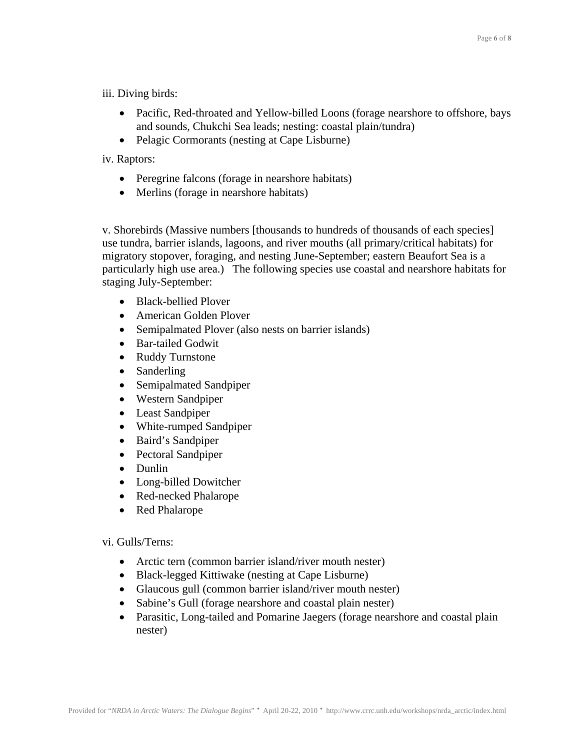iii. Diving birds:

- Pacific, Red-throated and Yellow-billed Loons (forage nearshore to offshore, bays and sounds, Chukchi Sea leads; nesting: coastal plain/tundra)
- Pelagic Cormorants (nesting at Cape Lisburne)

iv. Raptors:

- Peregrine falcons (forage in nearshore habitats)
- Merlins (forage in nearshore habitats)

v. Shorebirds (Massive numbers [thousands to hundreds of thousands of each species] use tundra, barrier islands, lagoons, and river mouths (all primary/critical habitats) for migratory stopover, foraging, and nesting June-September; eastern Beaufort Sea is a particularly high use area.) The following species use coastal and nearshore habitats for staging July-September:

- Black-bellied Plover
- American Golden Plover
- Semipalmated Plover (also nests on barrier islands)
- Bar-tailed Godwit
- Ruddy Turnstone
- Sanderling
- Semipalmated Sandpiper
- Western Sandpiper
- Least Sandpiper
- White-rumped Sandpiper
- Baird's Sandpiper
- Pectoral Sandpiper
- Dunlin
- Long-billed Dowitcher
- Red-necked Phalarope
- Red Phalarope

vi. Gulls/Terns:

- Arctic tern (common barrier island/river mouth nester)
- Black-legged Kittiwake (nesting at Cape Lisburne)
- Glaucous gull (common barrier island/river mouth nester)
- Sabine's Gull (forage nearshore and coastal plain nester)
- Parasitic, Long-tailed and Pomarine Jaegers (forage nearshore and coastal plain nester)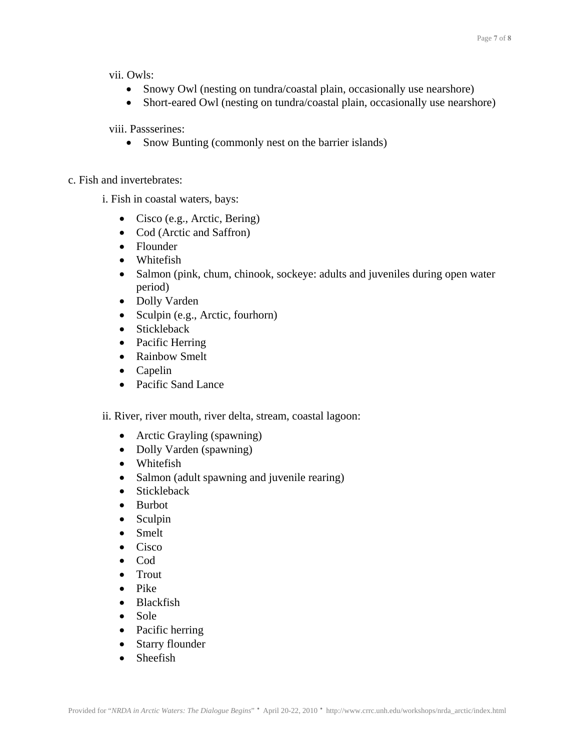vii. Owls:

- Snowy Owl (nesting on tundra/coastal plain, occasionally use nearshore)
- Short-eared Owl (nesting on tundra/coastal plain, occasionally use nearshore)

viii. Passserines:

- Snow Bunting (commonly nest on the barrier islands)
- c. Fish and invertebrates:
	- i. Fish in coastal waters, bays:
		- Cisco (e.g., Arctic, Bering)
		- Cod (Arctic and Saffron)
		- Flounder
		- Whitefish
		- Salmon (pink, chum, chinook, sockeye: adults and juveniles during open water period)
		- Dolly Varden
		- Sculpin (e.g., Arctic, fourhorn)
		- Stickleback
		- Pacific Herring
		- Rainbow Smelt
		- Capelin
		- Pacific Sand Lance
	- ii. River, river mouth, river delta, stream, coastal lagoon:
		- Arctic Grayling (spawning)
		- Dolly Varden (spawning)
		- Whitefish
		- Salmon (adult spawning and juvenile rearing)
		- Stickleback
		- Burbot
		- Sculpin
		- Smelt
		- Cisco
		- Cod
		- Trout
		- Pike
		- Blackfish
		- Sole
		- Pacific herring
		- Starry flounder
		- Sheefish